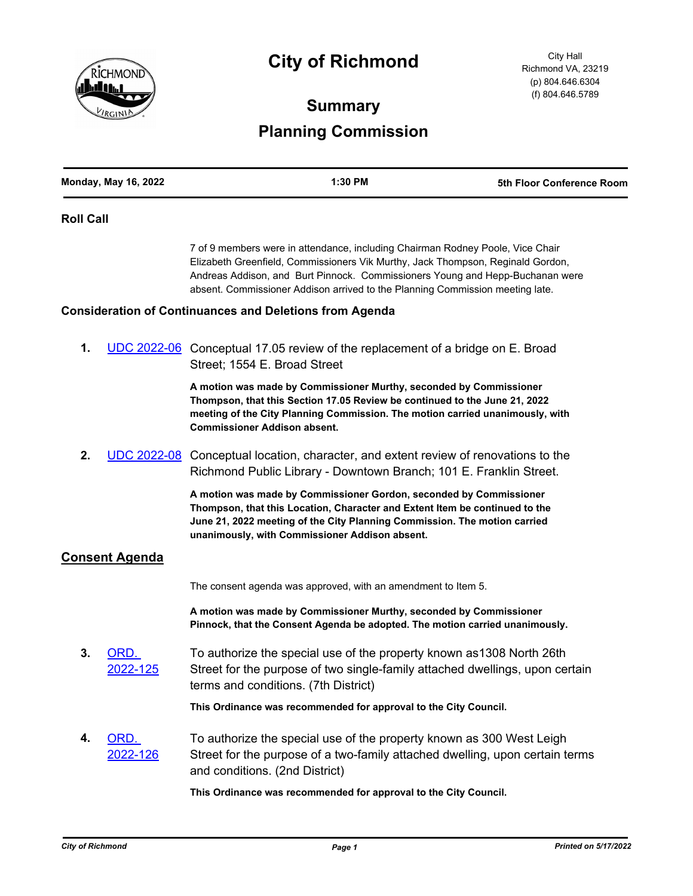

# **City of Richmond**

City Hall Richmond VA, 23219 (p) 804.646.6304 (f) 804.646.5789

# **Summary Planning Commission**

| <b>Monday, May 16, 2022</b> | 1:30 PM | 5th Floor Conference Room |
|-----------------------------|---------|---------------------------|
|                             |         |                           |

#### **Roll Call**

7 of 9 members were in attendance, including Chairman Rodney Poole, Vice Chair Elizabeth Greenfield, Commissioners Vik Murthy, Jack Thompson, Reginald Gordon, Andreas Addison, and Burt Pinnock. Commissioners Young and Hepp-Buchanan were absent. Commissioner Addison arrived to the Planning Commission meeting late.

#### **Consideration of Continuances and Deletions from Agenda**

**1.** [UDC 2022-06](http://richmondva.legistar.com/gateway.aspx?m=l&id=/matter.aspx?key=32034) Conceptual 17.05 review of the replacement of a bridge on E. Broad Street; 1554 E. Broad Street

> **A motion was made by Commissioner Murthy, seconded by Commissioner Thompson, that this Section 17.05 Review be continued to the June 21, 2022 meeting of the City Planning Commission. The motion carried unanimously, with Commissioner Addison absent.**

**2.** [UDC 2022-08](http://richmondva.legistar.com/gateway.aspx?m=l&id=/matter.aspx?key=32036) Conceptual location, character, and extent review of renovations to the Richmond Public Library - Downtown Branch; 101 E. Franklin Street.

> **A motion was made by Commissioner Gordon, seconded by Commissioner Thompson, that this Location, Character and Extent Item be continued to the June 21, 2022 meeting of the City Planning Commission. The motion carried unanimously, with Commissioner Addison absent.**

## **Consent Agenda**

The consent agenda was approved, with an amendment to Item 5.

**A motion was made by Commissioner Murthy, seconded by Commissioner Pinnock, that the Consent Agenda be adopted. The motion carried unanimously.**

**3.** ORD. [2022-125](http://richmondva.legistar.com/gateway.aspx?m=l&id=/matter.aspx?key=31809) To authorize the special use of the property known as1308 North 26th Street for the purpose of two single-family attached dwellings, upon certain terms and conditions. (7th District)

**This Ordinance was recommended for approval to the City Council.**

**4.** ORD. [2022-126](http://richmondva.legistar.com/gateway.aspx?m=l&id=/matter.aspx?key=31701) To authorize the special use of the property known as 300 West Leigh Street for the purpose of a two-family attached dwelling, upon certain terms and conditions. (2nd District)

**This Ordinance was recommended for approval to the City Council.**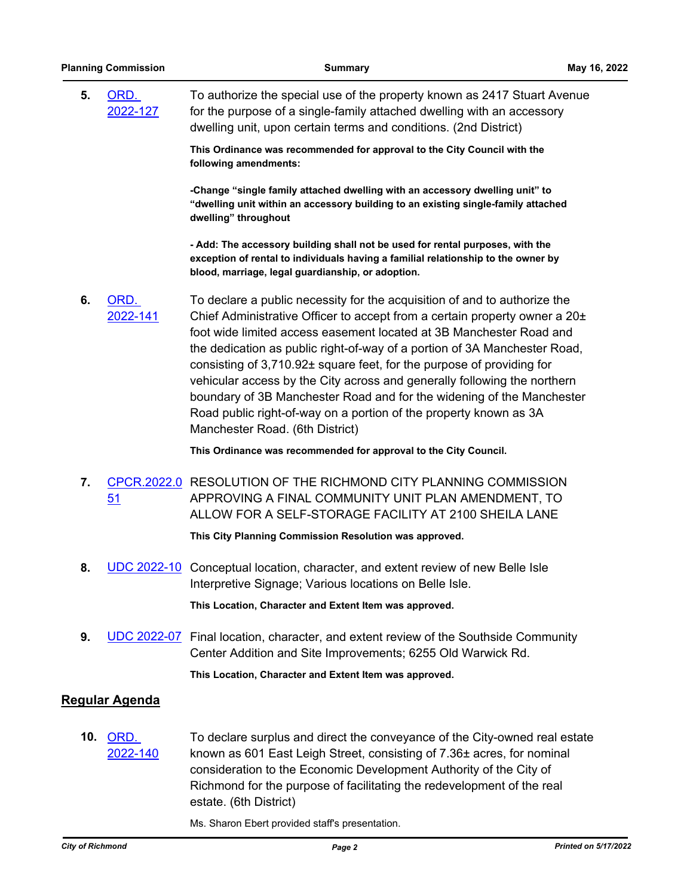**5.** ORD. [2022-127](http://richmondva.legistar.com/gateway.aspx?m=l&id=/matter.aspx?key=31810) To authorize the special use of the property known as 2417 Stuart Avenue for the purpose of a single-family attached dwelling with an accessory dwelling unit, upon certain terms and conditions. (2nd District)

> **This Ordinance was recommended for approval to the City Council with the following amendments:**

**-Change "single family attached dwelling with an accessory dwelling unit" to "dwelling unit within an accessory building to an existing single-family attached dwelling" throughout**

**- Add: The accessory building shall not be used for rental purposes, with the exception of rental to individuals having a familial relationship to the owner by blood, marriage, legal guardianship, or adoption.**

**6.** ORD. [2022-141](http://richmondva.legistar.com/gateway.aspx?m=l&id=/matter.aspx?key=32123) To declare a public necessity for the acquisition of and to authorize the Chief Administrative Officer to accept from a certain property owner a 20± foot wide limited access easement located at 3B Manchester Road and the dedication as public right-of-way of a portion of 3A Manchester Road, consisting of 3,710.92± square feet, for the purpose of providing for vehicular access by the City across and generally following the northern boundary of 3B Manchester Road and for the widening of the Manchester Road public right-of-way on a portion of the property known as 3A Manchester Road. (6th District)

**This Ordinance was recommended for approval to the City Council.**

**7.** [CPCR.2022.0](http://richmondva.legistar.com/gateway.aspx?m=l&id=/matter.aspx?key=32107) RESOLUTION OF THE RICHMOND CITY PLANNING COMMISSION 51 APPROVING A FINAL COMMUNITY UNIT PLAN AMENDMENT, TO ALLOW FOR A SELF-STORAGE FACILITY AT 2100 SHEILA LANE

**This City Planning Commission Resolution was approved.**

**8.** [UDC 2022-10](http://richmondva.legistar.com/gateway.aspx?m=l&id=/matter.aspx?key=32039) Conceptual location, character, and extent review of new Belle Isle Interpretive Signage; Various locations on Belle Isle.

**This Location, Character and Extent Item was approved.**

**9.** [UDC 2022-07](http://richmondva.legistar.com/gateway.aspx?m=l&id=/matter.aspx?key=32035) Final location, character, and extent review of the Southside Community Center Addition and Site Improvements; 6255 Old Warwick Rd.

**This Location, Character and Extent Item was approved.**

## **Regular Agenda**

**10.** ORD. [2022-140](http://richmondva.legistar.com/gateway.aspx?m=l&id=/matter.aspx?key=32122) To declare surplus and direct the conveyance of the City-owned real estate known as 601 East Leigh Street, consisting of 7.36± acres, for nominal consideration to the Economic Development Authority of the City of Richmond for the purpose of facilitating the redevelopment of the real estate. (6th District)

Ms. Sharon Ebert provided staff's presentation.